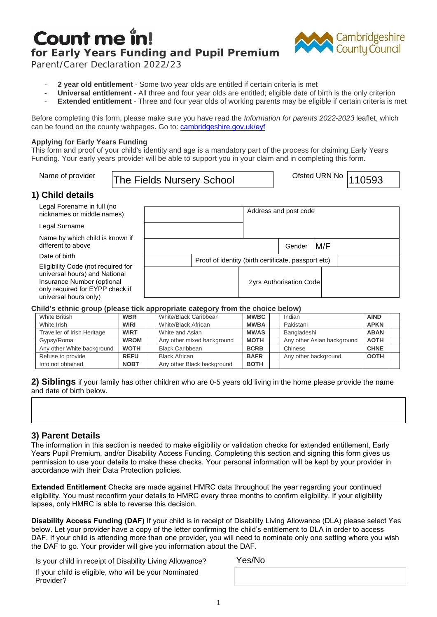# Count me in! **for Early Years Funding and Pupil Premium**



Parent/Carer Declaration 2022/23

- 2 year old entitlement Some two year olds are entitled if certain criteria is met
- **Universal entitlement**  All three and four year olds are entitled; eligible date of birth is the only criterion
- **Extended entitlement** Three and four year olds of working parents may be eligible if certain criteria is met

Before completing this form, please make sure you have read the *Information for parents 2022-2023* leaflet, which can be found on the county webpages. Go to: [cambridgeshire.gov.uk/](http://www.cambridgeshire.gov.uk/eyf)eyf

### **Applying for Early Years Funding**

This form and proof of your child's identity and age is a mandatory part of the process for claiming Early Years Funding. Your early years provider will be able to support you in your claim and in completing this form.

| Name of provider                                                                                                                                              | <b>The Fields Nursery School</b> |                                                                                                                                                                                                                                                                                                                                                                                                                                     |             | Ofsted URN No              | 110593      |  |  |
|---------------------------------------------------------------------------------------------------------------------------------------------------------------|----------------------------------|-------------------------------------------------------------------------------------------------------------------------------------------------------------------------------------------------------------------------------------------------------------------------------------------------------------------------------------------------------------------------------------------------------------------------------------|-------------|----------------------------|-------------|--|--|
| 1) Child details                                                                                                                                              |                                  |                                                                                                                                                                                                                                                                                                                                                                                                                                     |             |                            |             |  |  |
| Legal Forename in full (no                                                                                                                                    |                                  |                                                                                                                                                                                                                                                                                                                                                                                                                                     |             |                            |             |  |  |
| nicknames or middle names)                                                                                                                                    |                                  |                                                                                                                                                                                                                                                                                                                                                                                                                                     |             | Address and post code      |             |  |  |
| Legal Surname                                                                                                                                                 |                                  |                                                                                                                                                                                                                                                                                                                                                                                                                                     |             |                            |             |  |  |
| Name by which child is known if                                                                                                                               |                                  |                                                                                                                                                                                                                                                                                                                                                                                                                                     |             |                            |             |  |  |
| different to above                                                                                                                                            |                                  |                                                                                                                                                                                                                                                                                                                                                                                                                                     |             | M/F<br>Gender              |             |  |  |
| Date of birth                                                                                                                                                 |                                  |                                                                                                                                                                                                                                                                                                                                                                                                                                     |             |                            |             |  |  |
| Eligibility Code (not required for<br>universal hours) and National<br>Insurance Number (optional<br>only required for EYPP check if<br>universal hours only) |                                  | Proof of identity (birth certificate, passport etc)<br><b>2yrs Authorisation Code</b>                                                                                                                                                                                                                                                                                                                                               |             |                            |             |  |  |
|                                                                                                                                                               |                                  | Child's ethnic group (please tick appropriate category from the choice below)                                                                                                                                                                                                                                                                                                                                                       |             |                            |             |  |  |
| <b>White British</b>                                                                                                                                          | <b>WBR</b>                       | White/Black Caribbean                                                                                                                                                                                                                                                                                                                                                                                                               | <b>MWBC</b> | Indian                     | <b>AIND</b> |  |  |
| White Irish                                                                                                                                                   | <b>WIRI</b>                      | <b>White/Black African</b>                                                                                                                                                                                                                                                                                                                                                                                                          | <b>MWBA</b> | Pakistani                  | <b>APKN</b> |  |  |
| Traveller of Irish Heritage                                                                                                                                   | <b>WIRT</b>                      | White and Asian                                                                                                                                                                                                                                                                                                                                                                                                                     | <b>MWAS</b> | Bangladeshi                | <b>ABAN</b> |  |  |
| Gypsy/Roma                                                                                                                                                    | <b>WROM</b>                      | Any other mixed background                                                                                                                                                                                                                                                                                                                                                                                                          | <b>MOTH</b> | Any other Asian background | <b>AOTH</b> |  |  |
| Any other White background                                                                                                                                    | <b>WOTH</b>                      | <b>Black Caribbean</b>                                                                                                                                                                                                                                                                                                                                                                                                              | <b>BCRB</b> | Chinese                    | <b>CHNE</b> |  |  |
| Refuse to provide<br>Info not obtained                                                                                                                        | <b>REFU</b>                      | <b>Black African</b><br>Any other Black background                                                                                                                                                                                                                                                                                                                                                                                  | <b>BAFR</b> | Any other background       | <b>OOTH</b> |  |  |
| and date of birth below.                                                                                                                                      |                                  | <b>2) Siblings</b> if your family has other children who are 0-5 years old living in the home please provide the name                                                                                                                                                                                                                                                                                                               |             |                            |             |  |  |
| 3) Parent Details<br>accordance with their Data Protection policies.                                                                                          |                                  | The information in this section is needed to make eligibility or validation checks for extended entitlement, Early<br>Years Pupil Premium, and/or Disability Access Funding. Completing this section and signing this form gives us<br>permission to use your details to make these checks. Your personal information will be kept by your provider in                                                                              |             |                            |             |  |  |
| lapses, only HMRC is able to reverse this decision.                                                                                                           |                                  | <b>Extended Entitlement</b> Checks are made against HMRC data throughout the year regarding your continued<br>eligibility. You must reconfirm your details to HMRC every three months to confirm eligibility. If your eligibility                                                                                                                                                                                                   |             |                            |             |  |  |
|                                                                                                                                                               |                                  | Disability Access Funding (DAF) If your child is in receipt of Disability Living Allowance (DLA) please select Yes<br>below. Let your provider have a copy of the letter confirming the child's entitlement to DLA in order to access<br>DAF. If your child is attending more than one provider, you will need to nominate only one setting where you wish<br>the DAF to go. Your provider will give you information about the DAF. |             |                            |             |  |  |
| Is your child in receipt of Disability Living Allowance?                                                                                                      |                                  |                                                                                                                                                                                                                                                                                                                                                                                                                                     | Yes/No      |                            |             |  |  |

#### **Child's ethnic group (please tick appropriate category from the choice below)**

| White British               | <b>WBR</b>  | White/Black Caribbean      | <b>MWBC</b> |           | Indian                     | <b>AIND</b> |  |
|-----------------------------|-------------|----------------------------|-------------|-----------|----------------------------|-------------|--|
| White Irish                 | <b>WIRI</b> | White/Black African        | <b>MWBA</b> | Pakistani |                            | <b>APKN</b> |  |
| Traveller of Irish Heritage | <b>WIRT</b> | White and Asian            | <b>MWAS</b> |           | Bangladeshi                | <b>ABAN</b> |  |
| Gypsy/Roma                  | <b>WROM</b> | Any other mixed background | <b>MOTH</b> |           | Any other Asian background | <b>AOTH</b> |  |
| Any other White background  | <b>WOTH</b> | <b>Black Caribbean</b>     | <b>BCRB</b> |           | Chinese                    | <b>CHNE</b> |  |
| Refuse to provide           | <b>REFU</b> | <b>Black African</b>       | <b>BAFR</b> |           | Any other background       | <b>OOTH</b> |  |
| Info not obtained           | <b>NOBT</b> | Any other Black background | <b>BOTH</b> |           |                            |             |  |

## **3) Parent Details**

Is your child in receipt of Disability Living Allowance? Yes/No If your child is eligible, who will be your Nominated Provider?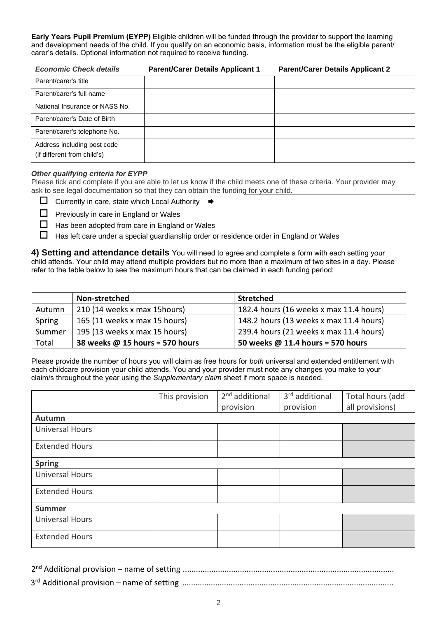**Early Years Pupil Premium (EYPP)** Eligible children will be funded through the provider to support the learning and development needs of the child. If you qualify on an economic basis, information must be the eligible parent/ carer's details. Optional information not required to receive funding.

| <b>Economic Check details</b>                              | <b>Parent/Carer Details Applicant 1</b> | <b>Parent/Carer Details Applicant 2</b> |
|------------------------------------------------------------|-----------------------------------------|-----------------------------------------|
| Parent/carer's title                                       |                                         |                                         |
| Parent/carer's full name                                   |                                         |                                         |
| National Insurance or NASS No.                             |                                         |                                         |
| Parent/carer's Date of Birth                               |                                         |                                         |
| Parent/carer's telephone No.                               |                                         |                                         |
| Address including post code<br>(if different from child's) |                                         |                                         |

### *Other qualifying criteria for EYPP*

Please tick and complete if you are able to let us know if the child meets one of these criteria. Your provider may ask to see legal documentation so that they can obtain the funding for your child.

 $\Box$  Currently in care, state which Local Authority  $\rightarrow$ 

 $\Box$  Previously in care in England or Wales

 $\Box$  Has been adopted from care in England or Wales

 $\Box$  Has left care under a special guardianship order or residence order in England or Wales

**4) Setting and attendance details** You will need to agree and complete a form with each setting your child attends. Your child may attend multiple providers but no more than a maximum of two sites in a day. Please refer to the table below to see the maximum hours that can be claimed in each funding period:

|        | Non-stretched                   | <b>Stretched</b>                        |
|--------|---------------------------------|-----------------------------------------|
| Autumn | 210 (14 weeks x max 15hours)    | 182.4 hours (16 weeks x max 11.4 hours) |
| Spring | 165 (11 weeks x max 15 hours)   | 148.2 hours (13 weeks x max 11.4 hours) |
| Summer | 195 (13 weeks x max 15 hours)   | 239.4 hours (21 weeks x max 11.4 hours) |
| Total  | 38 weeks @ 15 hours = 570 hours | 50 weeks @ 11.4 hours = 570 hours       |

Please provide the number of hours you will claim as free hours for *both* universal and extended entitlement with each childcare provision your child attends. You and your provider must note any changes you make to your claim/s throughout the year using the *Supplementary claim* sheet if more space is needed.

|                        | This provision | 2 <sup>nd</sup> additional | 3 <sup>rd</sup> additional | Total hours (add |
|------------------------|----------------|----------------------------|----------------------------|------------------|
|                        |                | provision                  | provision                  | all provisions)  |
| Autumn                 |                |                            |                            |                  |
| <b>Universal Hours</b> |                |                            |                            |                  |
| <b>Extended Hours</b>  |                |                            |                            |                  |
| <b>Spring</b>          |                |                            |                            |                  |
| <b>Universal Hours</b> |                |                            |                            |                  |
| <b>Extended Hours</b>  |                |                            |                            |                  |
| <b>Summer</b>          |                |                            |                            |                  |
| <b>Universal Hours</b> |                |                            |                            |                  |
| <b>Extended Hours</b>  |                |                            |                            |                  |

2nd Additional provision – name of setting ................................................................................................ 3rd Additional provision – name of setting ................................................................................................